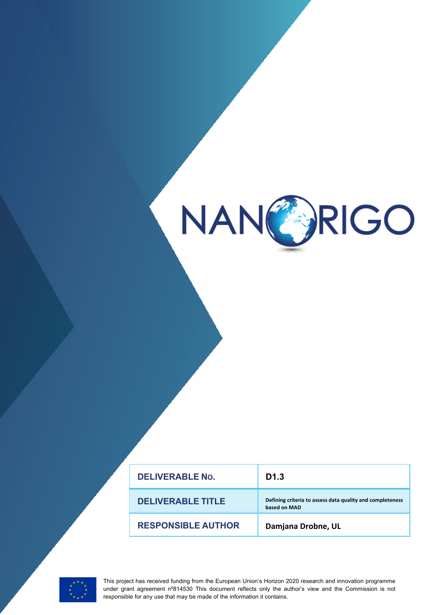

| <b>DELIVERABLE No.</b>    | D <sub>1.3</sub>                                                          |
|---------------------------|---------------------------------------------------------------------------|
| <b>DELIVERABLE TITLE</b>  | Defining criteria to assess data quality and completeness<br>based on MAD |
| <b>RESPONSIBLE AUTHOR</b> | Damjana Drobne, UL                                                        |



This project has received funding from the European Union's Horizon 2020 research and innovation programme under grant agreement n°814530 This document reflects only the author's view and the Commission is not responsible for any use that may be made of the information it contains.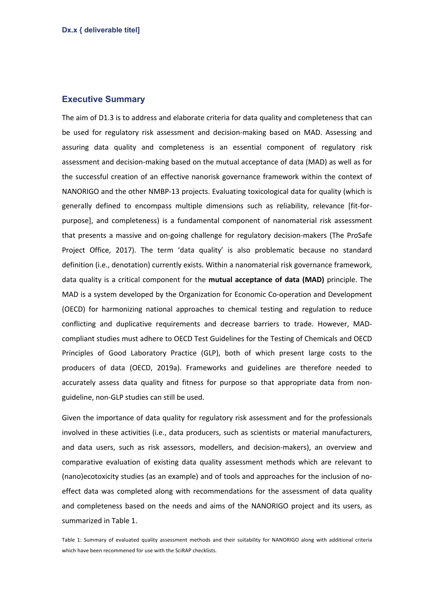## **Executive Summary**

The aim of D1.3 is to address and elaborate criteria for data quality and completeness that can be used for regulatory risk assessment and decision-making based on MAD. Assessing and assuring data quality and completeness is an essential component of regulatory risk assessment and decision-making based on the mutual acceptance of data (MAD) as well as for the successful creation of an effective nanorisk governance framework within the context of NANORIGO and the other NMBP-13 projects. Evaluating toxicological data for quality (which is generally defined to encompass multiple dimensions such as reliability, relevance [fit-forpurpose], and completeness) is a fundamental component of nanomaterial risk assessment that presents a massive and on-going challenge for regulatory decision-makers (The ProSafe Project Office, 2017). The term 'data quality' is also problematic because no standard definition (i.e., denotation) currently exists. Within a nanomaterial risk governance framework, data quality is a critical component for the **mutual acceptance of data (MAD)** principle. The MAD is a system developed by the Organization for Economic Co-operation and Development (OECD) for harmonizing national approaches to chemical testing and regulation to reduce conflicting and duplicative requirements and decrease barriers to trade. However, MADcompliant studies must adhere to OECD Test Guidelines for the Testing of Chemicals and OECD Principles of Good Laboratory Practice (GLP), both of which present large costs to the producers of data (OECD, 2019a). Frameworks and guidelines are therefore needed to accurately assess data quality and fitness for purpose so that appropriate data from nonguideline, non-GLP studies can still be used.

Given the importance of data quality for regulatory risk assessment and for the professionals involved in these activities (i.e., data producers, such as scientists or material manufacturers, and data users, such as risk assessors, modellers, and decision-makers), an overview and comparative evaluation of existing data quality assessment methods which are relevant to (nano)ecotoxicity studies (as an example) and of tools and approaches for the inclusion of noeffect data was completed along with recommendations for the assessment of data quality and completeness based on the needs and aims of the NANORIGO project and its users, as summarized in Table 1.

Table 1: Summary of evaluated quality assessment methods and their suitability for NANORIGO along with additional criteria which have been recommened for use with the SciRAP checklists.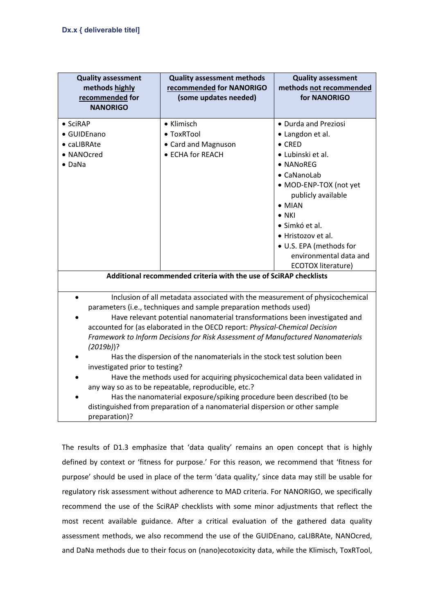| <b>Quality assessment</b><br>methods highly<br>recommended for<br><b>NANORIGO</b> | <b>Quality assessment methods</b><br>recommended for NANORIGO<br>(some updates needed)                                                                                                                                                                                                                                                                                                                                                                                                                                                                                                                                                                                                                                                                                    | <b>Quality assessment</b><br>methods not recommended<br>for NANORIGO                                                                                                                                                                                                                                                     |
|-----------------------------------------------------------------------------------|---------------------------------------------------------------------------------------------------------------------------------------------------------------------------------------------------------------------------------------------------------------------------------------------------------------------------------------------------------------------------------------------------------------------------------------------------------------------------------------------------------------------------------------------------------------------------------------------------------------------------------------------------------------------------------------------------------------------------------------------------------------------------|--------------------------------------------------------------------------------------------------------------------------------------------------------------------------------------------------------------------------------------------------------------------------------------------------------------------------|
| • SciRAP<br>• GUIDEnano<br>• caLIBRAte<br>• NANOcred<br>$\bullet$ DaNa            | • Klimisch<br>• ToxRTool<br>• Card and Magnuson<br>• ECHA for REACH                                                                                                                                                                                                                                                                                                                                                                                                                                                                                                                                                                                                                                                                                                       | • Durda and Preziosi<br>• Langdon et al.<br>$\bullet$ CRED<br>• Lubinski et al.<br>• NANoREG<br>• CaNanoLab<br>• MOD-ENP-TOX (not yet<br>publicly available<br>$\bullet$ MIAN<br>$\bullet$ NKI<br>· Simkó et al.<br>• Hristozov et al.<br>• U.S. EPA (methods for<br>environmental data and<br><b>ECOTOX literature)</b> |
| Additional recommended criteria with the use of SciRAP checklists                 |                                                                                                                                                                                                                                                                                                                                                                                                                                                                                                                                                                                                                                                                                                                                                                           |                                                                                                                                                                                                                                                                                                                          |
| $(2019b)$ ?<br>investigated prior to testing?<br>preparation)?                    | Inclusion of all metadata associated with the measurement of physicochemical<br>parameters (i.e., techniques and sample preparation methods used)<br>Have relevant potential nanomaterial transformations been investigated and<br>accounted for (as elaborated in the OECD report: Physical-Chemical Decision<br>Framework to Inform Decisions for Risk Assessment of Manufactured Nanomaterials<br>Has the dispersion of the nanomaterials in the stock test solution been<br>Have the methods used for acquiring physicochemical data been validated in<br>any way so as to be repeatable, reproducible, etc.?<br>Has the nanomaterial exposure/spiking procedure been described (to be<br>distinguished from preparation of a nanomaterial dispersion or other sample |                                                                                                                                                                                                                                                                                                                          |

The results of D1.3 emphasize that 'data quality' remains an open concept that is highly defined by context or 'fitness for purpose.' For this reason, we recommend that 'fitness for purpose' should be used in place of the term 'data quality,' since data may still be usable for regulatory risk assessment without adherence to MAD criteria. For NANORIGO, we specifically recommend the use of the SciRAP checklists with some minor adjustments that reflect the most recent available guidance. After a critical evaluation of the gathered data quality assessment methods, we also recommend the use of the GUIDEnano, caLIBRAte, NANOcred, and DaNa methods due to their focus on (nano)ecotoxicity data, while the Klimisch, ToxRTool,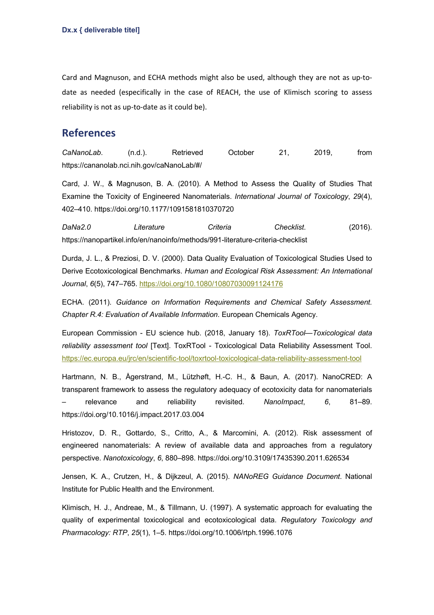Card and Magnuson, and ECHA methods might also be used, although they are not as up-todate as needed (especifically in the case of REACH, the use of Klimisch scoring to assess reliability is not as up-to-date as it could be).

## **References**

*CaNanoLab*. (n.d.). Retrieved October 21, 2019, from https://cananolab.nci.nih.gov/caNanoLab/#/

Card, J. W., & Magnuson, B. A. (2010). A Method to Assess the Quality of Studies That Examine the Toxicity of Engineered Nanomaterials. *International Journal of Toxicology*, *29*(4), 402–410. https://doi.org/10.1177/1091581810370720

*DaNa2.0 Literature Criteria Checklist*. (2016). https://nanopartikel.info/en/nanoinfo/methods/991-literature-criteria-checklist

Durda, J. L., & Preziosi, D. V. (2000). Data Quality Evaluation of Toxicological Studies Used to Derive Ecotoxicological Benchmarks. *Human and Ecological Risk Assessment: An International Journal*, *6*(5), 747–765. https://doi.org/10.1080/10807030091124176

ECHA. (2011). *Guidance on Information Requirements and Chemical Safety Assessment. Chapter R.4: Evaluation of Available Information*. European Chemicals Agency.

European Commission - EU science hub. (2018, January 18). *ToxRTool—Toxicological data reliability assessment tool* [Text]. ToxRTool - Toxicological Data Reliability Assessment Tool. https://ec.europa.eu/jrc/en/scientific-tool/toxrtool-toxicological-data-reliability-assessment-tool

Hartmann, N. B., Ågerstrand, M., Lützhøft, H.-C. H., & Baun, A. (2017). NanoCRED: A transparent framework to assess the regulatory adequacy of ecotoxicity data for nanomaterials – relevance and reliability revisited. *NanoImpact*, *6*, 81–89. https://doi.org/10.1016/j.impact.2017.03.004

Hristozov, D. R., Gottardo, S., Critto, A., & Marcomini, A. (2012). Risk assessment of engineered nanomaterials: A review of available data and approaches from a regulatory perspective. *Nanotoxicology*, *6*, 880–898. https://doi.org/10.3109/17435390.2011.626534

Jensen, K. A., Crutzen, H., & Dijkzeul, A. (2015). *NANoREG Guidance Document*. National Institute for Public Health and the Environment.

Klimisch, H. J., Andreae, M., & Tillmann, U. (1997). A systematic approach for evaluating the quality of experimental toxicological and ecotoxicological data. *Regulatory Toxicology and Pharmacology: RTP*, *25*(1), 1–5. https://doi.org/10.1006/rtph.1996.1076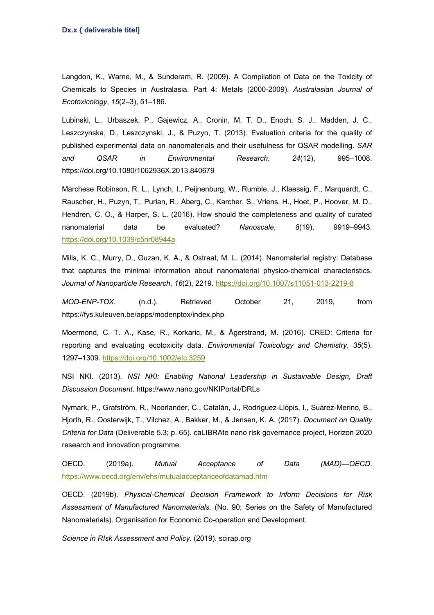Langdon, K., Warne, M., & Sunderam, R. (2009). A Compilation of Data on the Toxicity of Chemicals to Species in Australasia. Part 4: Metals (2000-2009). *Australasian Journal of Ecotoxicology*, *15*(2–3), 51–186.

Lubinski, L., Urbaszek, P., Gajewicz, A., Cronin, M. T. D., Enoch, S. J., Madden, J. C., Leszczynska, D., Leszczynski, J., & Puzyn, T. (2013). Evaluation criteria for the quality of published experimental data on nanomaterials and their usefulness for QSAR modelling. *SAR and QSAR in Environmental Research*, *24*(12), 995–1008. https://doi.org/10.1080/1062936X.2013.840679

Marchese Robinson, R. L., Lynch, I., Peijnenburg, W., Rumble, J., Klaessig, F., Marquardt, C., Rauscher, H., Puzyn, T., Purian, R., Åberg, C., Karcher, S., Vriens, H., Hoet, P., Hoover, M. D., Hendren, C. O., & Harper, S. L. (2016). How should the completeness and quality of curated nanomaterial data be evaluated? *Nanoscale*, *8*(19), 9919–9943. https://doi.org/10.1039/c5nr08944a

Mills, K. C., Murry, D., Guzan, K. A., & Ostraat, M. L. (2014). Nanomaterial registry: Database that captures the minimal information about nanomaterial physico-chemical characteristics. *Journal of Nanoparticle Research*, *16*(2), 2219. https://doi.org/10.1007/s11051-013-2219-8

*MOD-ENP-TOX*. (n.d.). Retrieved October 21, 2019, from https://fys.kuleuven.be/apps/modenptox/index.php

Moermond, C. T. A., Kase, R., Korkaric, M., & Ågerstrand, M. (2016). CRED: Criteria for reporting and evaluating ecotoxicity data. *Environmental Toxicology and Chemistry*, *35*(5), 1297–1309. https://doi.org/10.1002/etc.3259

NSI NKI. (2013). *NSI NKI: Enabling National Leadership in Sustainable Design, Draft Discussion Document*. https://www.nano.gov/NKIPortal/DRLs

Nymark, P., Grafström, R., Noorlander, C., Catalán, J., Rodríguez-Llopis, I., Suárez-Merino, B., Hjorth, R., Oosterwijk, T., Vilchez, A., Bakker, M., & Jensen, K. A. (2017). *Document on Quality Criteria for Data* (Deliverable 5.3; p. 65). caLIBRAte nano risk governance project, Horizon 2020 research and innovation programme.

OECD. (2019a). *Mutual Acceptance of Data (MAD)—OECD*. https://www.oecd.org/env/ehs/mutualacceptanceofdatamad.htm

OECD. (2019b). *Physical-Chemical Decision Framework to Inform Decisions for Risk Assessment of Manufactured Nanomaterials.* (No. 90; Series on the Safety of Manufactured Nanomaterials). Organisation for Economic Co-operation and Development.

*Science in RIsk Assessment and Policy*. (2019). scirap.org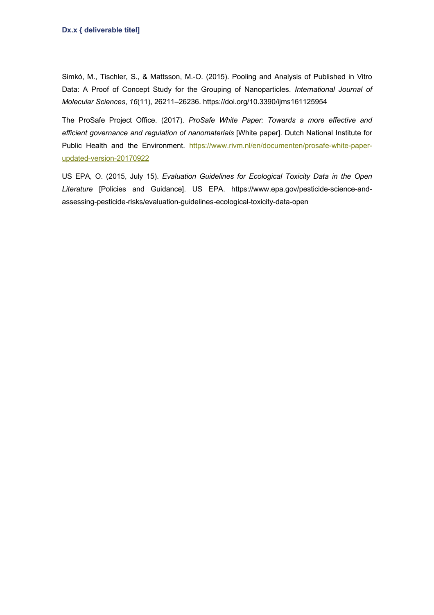Simkó, M., Tischler, S., & Mattsson, M.-O. (2015). Pooling and Analysis of Published in Vitro Data: A Proof of Concept Study for the Grouping of Nanoparticles. *International Journal of Molecular Sciences*, *16*(11), 26211–26236. https://doi.org/10.3390/ijms161125954

The ProSafe Project Office. (2017). *ProSafe White Paper: Towards a more effective and efficient governance and regulation of nanomaterials* [White paper]. Dutch National Institute for Public Health and the Environment. https://www.rivm.nl/en/documenten/prosafe-white-paperupdated-version-20170922

US EPA, O. (2015, July 15). *Evaluation Guidelines for Ecological Toxicity Data in the Open Literature* [Policies and Guidance]. US EPA. https://www.epa.gov/pesticide-science-andassessing-pesticide-risks/evaluation-guidelines-ecological-toxicity-data-open